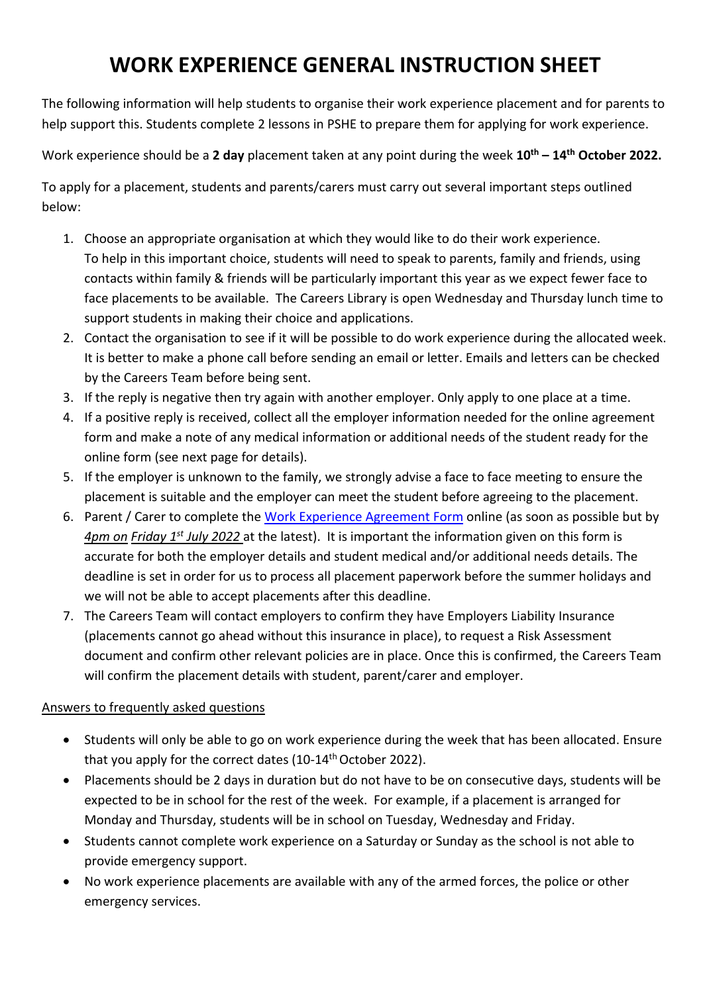## **WORK EXPERIENCE GENERAL INSTRUCTION SHEET**

The following information will help students to organise their work experience placement and for parents to help support this. Students complete 2 lessons in PSHE to prepare them for applying for work experience.

Work experience should be a **2 day** placement taken at any point during the week **10th – 14th October 2022.** 

To apply for a placement, students and parents/carers must carry out several important steps outlined below:

- 1. Choose an appropriate organisation at which they would like to do their work experience. To help in this important choice, students will need to speak to parents, family and friends, using contacts within family & friends will be particularly important this year as we expect fewer face to face placements to be available. The Careers Library is open Wednesday and Thursday lunch time to support students in making their choice and applications.
- 2. Contact the organisation to see if it will be possible to do work experience during the allocated week. It is better to make a phone call before sending an email or letter. Emails and letters can be checked by the Careers Team before being sent.
- 3. If the reply is negative then try again with another employer. Only apply to one place at a time.
- 4. If a positive reply is received, collect all the employer information needed for the online agreement form and make a note of any medical information or additional needs of the student ready for the online form (see next page for details).
- 5. If the employer is unknown to the family, we strongly advise a face to face meeting to ensure the placement is suitable and the employer can meet the student before agreeing to the placement.
- 6. Parent / Carer to complete the [Work Experience Agreement Form](https://forms.office.com/r/nXzM8GcX3j) online (as soon as possible but by *4pm on Friday 1 st July 2022* at the latest). It is important the information given on this form is accurate for both the employer details and student medical and/or additional needs details. The deadline is set in order for us to process all placement paperwork before the summer holidays and we will not be able to accept placements after this deadline.
- 7. The Careers Team will contact employers to confirm they have Employers Liability Insurance (placements cannot go ahead without this insurance in place), to request a Risk Assessment document and confirm other relevant policies are in place. Once this is confirmed, the Careers Team will confirm the placement details with student, parent/carer and employer.

## Answers to frequently asked questions

- Students will only be able to go on work experience during the week that has been allocated. Ensure that you apply for the correct dates (10-14<sup>th</sup> October 2022).
- Placements should be 2 days in duration but do not have to be on consecutive days, students will be expected to be in school for the rest of the week. For example, if a placement is arranged for Monday and Thursday, students will be in school on Tuesday, Wednesday and Friday.
- Students cannot complete work experience on a Saturday or Sunday as the school is not able to provide emergency support.
- No work experience placements are available with any of the armed forces, the police or other emergency services.